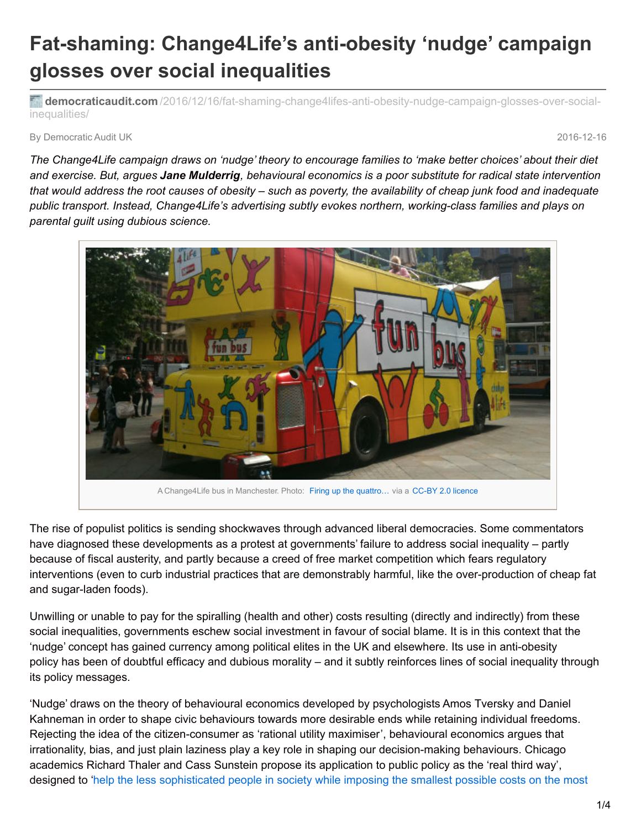## **Fat-shaming: Change4Life's anti-obesity 'nudge' campaign glosses over social inequalities**

**democraticaudit.com** [/2016/12/16/fat-shaming-change4lifes-anti-obesity-nudge-campaign-glosses-over-social](http://www.democraticaudit.com/2016/12/16/fat-shaming-change4lifes-anti-obesity-nudge-campaign-glosses-over-social-inequalities/)inequalities/

By Democratic Audit UK 2016-12-16

The Change4Life campaign draws on 'nudge' theory to encourage families to 'make better choices' about their diet and exercise. But, arques Jane Mulderrig, behavioural economics is a poor substitute for radical state intervention that would address the root causes of obesity – such as poverty, the availability of cheap junk food and inadequate *public transport. Instead, Change4Life's advertising subtly evokes northern, working-class families and plays on parental guilt using dubious science.*



The rise of populist politics is sending shockwaves through advanced liberal democracies. Some commentators have diagnosed these developments as a protest at governments' failure to address social inequality – partly because of fiscal austerity, and partly because a creed of free market competition which fears regulatory interventions (even to curb industrial practices that are demonstrably harmful, like the over-production of cheap fat and sugar-laden foods).

Unwilling or unable to pay for the spiralling (health and other) costs resulting (directly and indirectly) from these social inequalities, governments eschew social investment in favour of social blame. It is in this context that the 'nudge' concept has gained currency among political elites in the UK and elsewhere. Its use in anti-obesity policy has been of doubtful efficacy and dubious morality – and it subtly reinforces lines of social inequality through its policy messages.

'Nudge' draws on the theory of behavioural economics developed by psychologists Amos Tversky and Daniel Kahneman in order to shape civic behaviours towards more desirable ends while retaining individual freedoms. Rejecting the idea of the citizen-consumer as 'rational utility maximiser', behavioural economics argues that irrationality, bias, and just plain laziness play a key role in shaping our decision-making behaviours. Chicago academics Richard Thaler and Cass Sunstein propose its application to public policy as the 'real third way', designed to 'help the less [sophisticated](http://nudges.org/tag/richard-thaler/) people in society while imposing the smallest possible costs on the most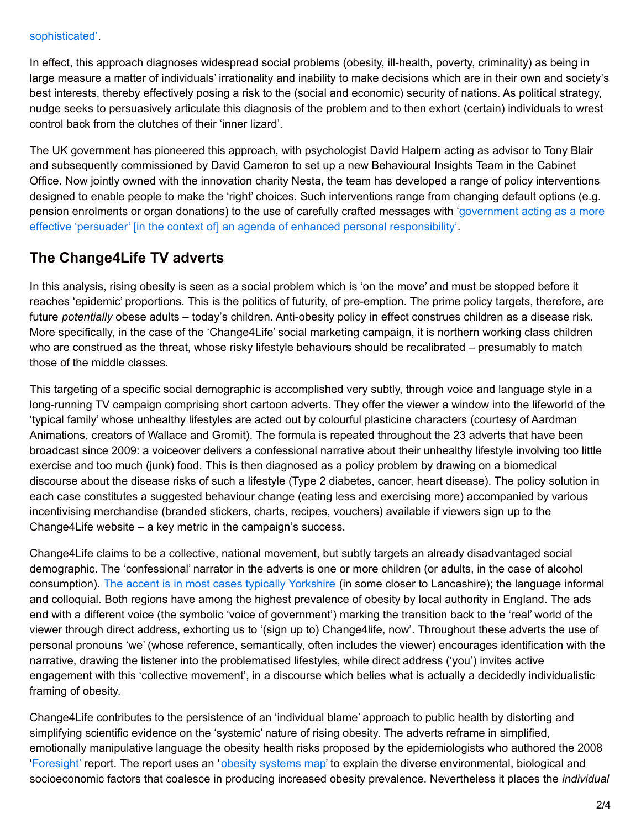## sophisticated'.

In effect, this approach diagnoses widespread social problems (obesity, ill-health, poverty, criminality) as being in large measure a matter of individuals' irrationality and inability to make decisions which are in their own and society's best interests, thereby effectively posing a risk to the (social and economic) security of nations. As political strategy, nudge seeks to persuasively articulate this diagnosis of the problem and to then exhort (certain) individuals to wrest control back from the clutches of their 'inner lizard'.

The UK government has pioneered this approach, with psychologist David Halpern acting as advisor to Tony Blair and subsequently commissioned by David Cameron to set up a new Behavioural Insights Team in the Cabinet Office. Now jointly owned with the innovation charity Nesta, the team has developed a range of policy interventions designed to enable people to make the 'right' choices. Such interventions range from changing default options (e.g. pension enrolments or organ donations) to the use of carefully crafted messages with 'government acting as a more effective 'persuader' [in the context of] an agenda of enhanced personal [responsibility'.](http://webarchive.nationalarchives.gov.uk/+/http:/www.cabinetoffice.gov.uk/media/cabinetoffice/strategy/assets/pr2.pdf)

## **The Change4Life TV adverts**

In this analysis, rising obesity is seen as a social problem which is 'on the move' and must be stopped before it reaches 'epidemic' proportions. This is the politics of futurity, of pre-emption. The prime policy targets, therefore, are future *potentially* obese adults – today's children. Anti-obesity policy in effect construes children as a disease risk. More specifically, in the case of the 'Change4Life' social marketing campaign, it is northern working class children who are construed as the threat, whose risky lifestyle behaviours should be recalibrated – presumably to match those of the middle classes.

This targeting of a specific social demographic is accomplished very subtly, through voice and language style in a long-running TV campaign comprising short cartoon adverts. They offer the viewer a window into the lifeworld of the 'typical family' whose unhealthy lifestyles are acted out by colourful plasticine characters (courtesy of Aardman Animations, creators of Wallace and Gromit). The formula is repeated throughout the 23 adverts that have been broadcast since 2009: a voiceover delivers a confessional narrative about their unhealthy lifestyle involving too little exercise and too much (junk) food. This is then diagnosed as a policy problem by drawing on a biomedical discourse about the disease risks of such a lifestyle (Type 2 diabetes, cancer, heart disease). The policy solution in each case constitutes a suggested behaviour change (eating less and exercising more) accompanied by various incentivising merchandise (branded stickers, charts, recipes, vouchers) available if viewers sign up to the Change4Life website – a key metric in the campaign's success.

Change4Life claims to be a collective, national movement, but subtly targets an already disadvantaged social demographic. The 'confessional' narrator in the adverts is one or more children (or adults, in the case of alcohol consumption). The accent is in most cases typically [Yorkshire](https://www.youtube.com/watch?v=PSZDl-ppme8) (in some closer to Lancashire); the language informal and colloquial. Both regions have among the highest prevalence of obesity by local authority in England. The ads end with a different voice (the symbolic 'voice of government') marking the transition back to the 'real' world of the viewer through direct address, exhorting us to '(sign up to) Change4life, now'. Throughout these adverts the use of personal pronouns 'we' (whose reference, semantically, often includes the viewer) encourages identification with the narrative, drawing the listener into the problematised lifestyles, while direct address ('you') invites active engagement with this 'collective movement', in a discourse which belies what is actually a decidedly individualistic framing of obesity.

Change4Life contributes to the persistence of an 'individual blame' approach to public health by distorting and simplifying scientific evidence on the 'systemic' nature of rising obesity. The adverts reframe in simplified, emotionally manipulative language the obesity health risks proposed by the epidemiologists who authored the 2008 ['Foresight'](https://www.gov.uk/government/uploads/system/uploads/attachment_data/file/287937/07-1184x-tackling-obesities-future-choices-report.pdf) report. The report uses an 'obesity [systems](https://www.gov.uk/government/uploads/system/uploads/attachment_data/file/296290/obesity-map-full-hi-res.pdf) map' to explain the diverse environmental, biological and socioeconomic factors that coalesce in producing increased obesity prevalence. Nevertheless it places the *individual*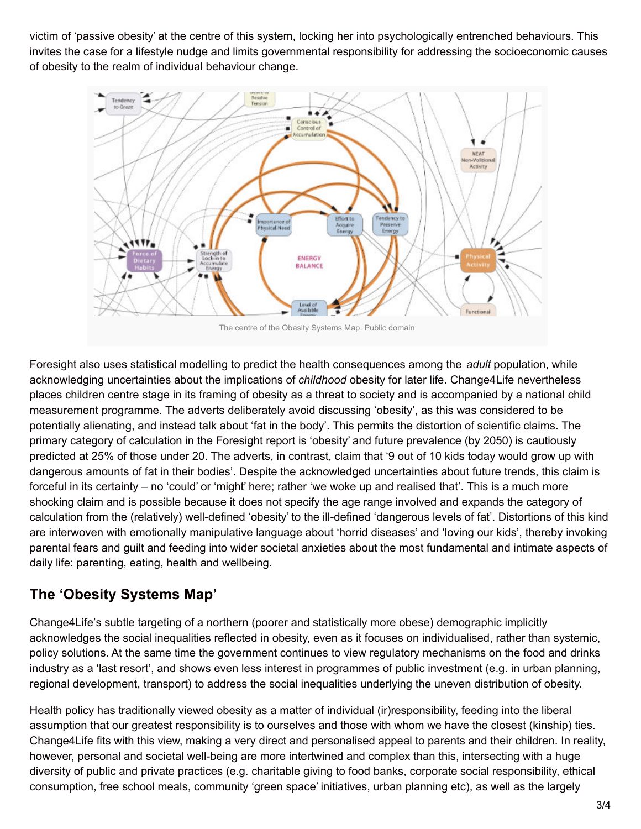victim of 'passive obesity' at the centre of this system, locking her into psychologically entrenched behaviours. This invites the case for a lifestyle nudge and limits governmental responsibility for addressing the socioeconomic causes of obesity to the realm of individual behaviour change.



The centre of the Obesity Systems Map. Public domain

Foresight also uses statistical modelling to predict the health consequences among the *adult* population, while acknowledging uncertainties about the implications of *childhood* obesity for later life. Change4Life nevertheless places children centre stage in its framing of obesity as a threat to society and is accompanied by a national child measurement programme. The adverts deliberately avoid discussing 'obesity', as this was considered to be potentially alienating, and instead talk about 'fat in the body'. This permits the distortion of scientific claims. The primary category of calculation in the Foresight report is 'obesity' and future prevalence (by 2050) is cautiously predicted at 25% of those under 20. The adverts, in contrast, claim that '9 out of 10 kids today would grow up with dangerous amounts of fat in their bodies'. Despite the acknowledged uncertainties about future trends, this claim is forceful in its certainty – no 'could' or 'might' here; rather 'we woke up and realised that'. This is a much more shocking claim and is possible because it does not specify the age range involved and expands the category of calculation from the (relatively) well-defined 'obesity' to the ill-defined 'dangerous levels of fat'. Distortions of this kind are interwoven with emotionally manipulative language about 'horrid diseases' and 'loving our kids', thereby invoking parental fears and guilt and feeding into wider societal anxieties about the most fundamental and intimate aspects of daily life: parenting, eating, health and wellbeing.

## **The 'Obesity Systems Map'**

Change4Life's subtle targeting of a northern (poorer and statistically more obese) demographic implicitly acknowledges the social inequalities reflected in obesity, even as it focuses on individualised, rather than systemic, policy solutions. At the same time the government continues to view regulatory mechanisms on the food and drinks industry as a 'last resort', and shows even less interest in programmes of public investment (e.g. in urban planning, regional development, transport) to address the social inequalities underlying the uneven distribution of obesity.

Health policy has traditionally viewed obesity as a matter of individual (ir)responsibility, feeding into the liberal assumption that our greatest responsibility is to ourselves and those with whom we have the closest (kinship) ties. Change4Life fits with this view, making a very direct and personalised appeal to parents and their children. In reality, however, personal and societal well-being are more intertwined and complex than this, intersecting with a huge diversity of public and private practices (e.g. charitable giving to food banks, corporate social responsibility, ethical consumption, free school meals, community 'green space' initiatives, urban planning etc), as well as the largely